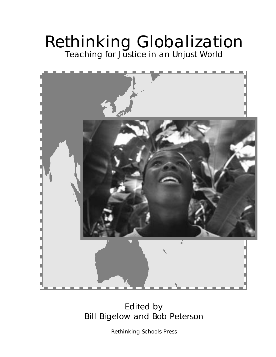# Rethinking Globalization Teaching for Justice in an Unjust World

## Edited by Bill Bigelow and Bob Peterson

Rethinking Schools Press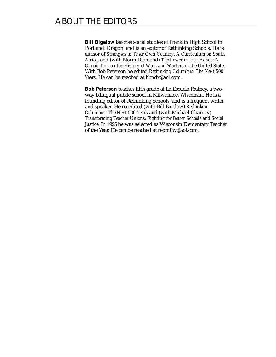**Bill Bigelow** teaches social studies at Franklin High School in Portland, Oregon, and is an editor of Rethinking Schools. He is author of *Strangers in Their Own Country: A Curriculum on South Africa*, and (with Norm Diamond) *The Power in Our Hands: A Curriculum on the History of Work and Workers in the United States.* With Bob Peterson he edited *Rethinking Columbus: The Next 500 Years*. He can be reached a[t bbpdx@aol.com.](mailto:bbpdx@aol.com)

**Bob Peterson** teaches fifth grade at La Escuela Fratney, a twoway bilingual public school in Milwaukee, Wisconsin. He is a founding editor of Rethinking Schools, and is a frequent writer and speaker. He co-edited (with Bill Bigelow) *Rethinking Columbus: The Next 500 Years* and (with Michael Charney) *Transforming Teacher Unions: Fighting for Better Schools and Social Justice*. In 1995 he was selected as Wisconsin Elementary Teacher of the Year. He can be reached a[t repmilw@aol.com.](mailto:repmilw@aol.com)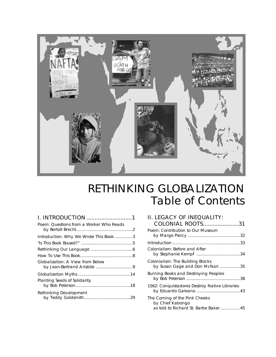

# RETHINKING GLOBALIZATION Table of Contents

| <b>I. INTRODUCTION</b> 1                                        |
|-----------------------------------------------------------------|
| Poem: Questions from a Worker Who Reads                         |
| Introduction: Why We Wrote This Book3                           |
|                                                                 |
|                                                                 |
|                                                                 |
| Globalization: A View from Below<br>by Jean-Bertrand Aristide 9 |
|                                                                 |
| Planting Seeds of Solidarity                                    |
| Rethinking Development                                          |

| II. LEGACY OF INEQUALITY:<br>COLONIAL ROOTS31                                             |
|-------------------------------------------------------------------------------------------|
| Poem: Contribution to Our Museum                                                          |
|                                                                                           |
| Colonialism: Before and After                                                             |
| Colonialism: The Building Blocks<br>by Susan Gage and Don McNair 35                       |
| Burning Books and Destroying Peoples                                                      |
| 1562: Conquistadores Destroy Native Libraries                                             |
| The Coming of the Pink Cheeks<br>by Chief Kabongo<br>as told to Richard St. Barbe Baker45 |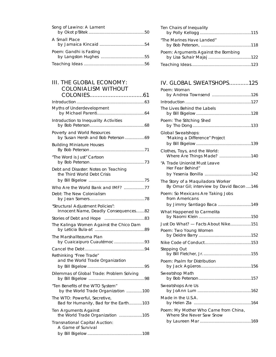| Song of Lawino: A Lament |
|--------------------------|
| A Small Place            |
| Poem: Gandhi is Fasting  |
|                          |

#### III. THE GLOBAL ECONOMY: COLONIALISM WITHOUT COLONIESE NITHOUS 201

| Myths of Underdevelopment                                                 |
|---------------------------------------------------------------------------|
| Introduction to Inequality Activities                                     |
| Poverty and World Resources<br>by Susan Hersh and Bob Peterson69          |
| <b>Building Miniature Houses</b>                                          |
| "The Word is Just" Cartoon                                                |
| Debt and Disaster: Notes on Teaching<br>the Third World Debt Crisis       |
| Who Are the World Bank and IMF? 77<br>Debt: The New Colonialism           |
| "Structural Adjustment Policies":<br>Innocent Name, Deadly Consequences82 |
|                                                                           |
| The Kalinga Women Against the Chico Dam                                   |
| The Marshalltezuma Plan<br>by Cuaicaipuro Cuautémoc 93                    |
|                                                                           |
| Rethinking "Free Trade"<br>and the World Trade Organization               |
| Dilemmas of Global Trade: Problem Solving                                 |
| "Ten Benefits of the WTO System"<br>by the World Trade Organization 100   |
| The WTO: Powerful, Secretive,<br>Bad for Humanity, Bad for the Earth103   |
| Ten Arguments Against<br>the World Trade Organization 105                 |
| Transnational Capital Auction:<br>A Game of Survival                      |

| Ten Chairs of Inequality            |  |
|-------------------------------------|--|
| "The Marines Have Landed"           |  |
| Poem: Arguments Against the Bombing |  |
|                                     |  |

### IV. GLOBAL SWEATSHOPS............125

| Poem: Woman                                                      |
|------------------------------------------------------------------|
| by Andrea Townsend 126                                           |
|                                                                  |
| The Lives Behind the Labels                                      |
| Poem: The Stitching Shed                                         |
| Global Sweatshops:<br>"Making a Difference" Project              |
| Clothes, Toys, and the World:<br>Where Are Things Made? 140      |
| "A Trade Unionist Must Leave<br>Her Fear Behind"                 |
| The Story of a Maquiladora Worker                                |
| By Omar Gil; interview by David Bacon146                         |
| Poem: So Mexicans Are Taking Jobs<br>from Americans              |
| by Jimmy Santiago Baca 149                                       |
| What Happened to Carmelita                                       |
| Just Do What? - Facts About Nike151                              |
| Poem: Two Young Women                                            |
|                                                                  |
| Stepping Out                                                     |
| Poem: Psalm for Distribution                                     |
| Sweatshop Math                                                   |
| Sweatshops Are Us<br>by JoAnn Lum<br>162                         |
| Made in the U.S.A.                                               |
| Poem: My Mother Who Came from China,<br>Where She Never Saw Snow |
|                                                                  |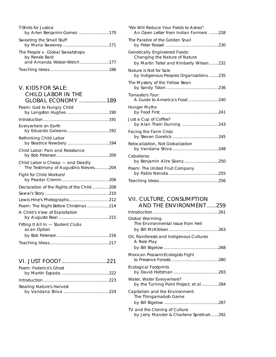| T-Shirts for Justice                                                          |
|-------------------------------------------------------------------------------|
| Sweating the Small Stuff                                                      |
| The People v. Global Sweatshops<br>by Renée Bald<br>and Amanda Weber-Welch177 |
|                                                                               |

| <b>V. KIDS FOR SALE:</b><br><b>CHILD LABOR IN THE</b><br><b>GLOBAL ECONOMY</b> 189 |
|------------------------------------------------------------------------------------|
| Poem: God to Hungry Child                                                          |
|                                                                                    |
| Everywhere on Earth                                                                |
| Rethinking Child Labor                                                             |
| Child Labor: Pain and Resistance                                                   |
| Child Labor is Cheap - and Deadly<br>The Testimony of Augustino Nieves204          |
| Fight for Child Workers!                                                           |
| Declaration of the Rights of the Child208                                          |
|                                                                                    |
|                                                                                    |
| Poem: The Night Before Christmas 214                                               |
| A Child's View of Exploitation                                                     |
| Fitting It All In - Student Clubs<br>as an Option                                  |
|                                                                                    |
|                                                                                    |

| VI. JUST FOOD?221 |  |
|-------------------|--|
|-------------------|--|

| Poem: Federico's Ghost    |  |
|---------------------------|--|
|                           |  |
|                           |  |
| Stealing Nature's Harvest |  |
|                           |  |

| "We Will Reduce Your Fields to Ashes":<br>An Open Letter from Indian Farmers 228                          |
|-----------------------------------------------------------------------------------------------------------|
| The Parable of the Golden Snail                                                                           |
| Genetically Engineered Foods:<br>Changing the Nature of Nature<br>by Martin Teitel and Kimberly Wilson232 |
| Nature is Not for Sale<br>by Indigenous Peoples Organizations 235                                         |
| The Mystery of the Yellow Bean                                                                            |
| Tomasito's Tour:<br>A Guide to America's Food. 240                                                        |
| Hunger Myths                                                                                              |
| Just a Cup of Coffee?                                                                                     |
| Facing the Farm Crisis                                                                                    |
| Relocalization, Not Globalization                                                                         |
| Cebolleros<br>by Benjamin Alire Sáenz250                                                                  |
| Poem: The United Fruit Company                                                                            |
|                                                                                                           |

#### VII. CULTURE, CONSUMPTION AND THE ENVIRONMENT......259

| Global Warming:<br>The Environmental Issue from Hell                    |
|-------------------------------------------------------------------------|
| Oil, Rainforests and Indigenous Cultures<br>A Role Play                 |
|                                                                         |
| Mexican Peasant-Ecologists Fight                                        |
| <b>Ecological Footprints</b>                                            |
| Water, Water Everywhere?<br>by the Turning Point Project, et al284      |
| Capitalism and the Environment:<br>The Thingamabob Game                 |
|                                                                         |
| TV and the Cloning of Culture<br>by Jerry Mander & Charlene Spretnak292 |